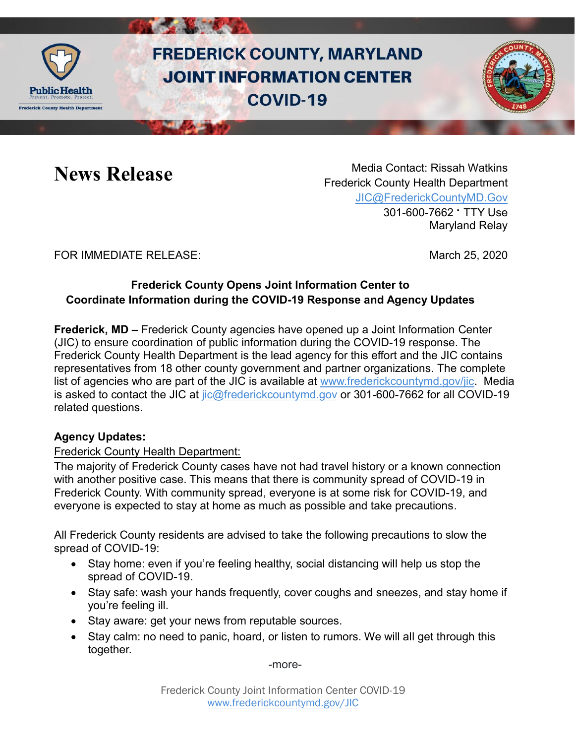

# **FREDERICK COUNTY, MARYLAND JOINT INFORMATION CENTER COVID-19**



**News Release** Media Contact: Rissah Watkins Frederick County Health Department [JIC@FrederickCountyMD.Gov](mailto:JIC@FrederickCountyMD.Gov) 301-600-7662 • TTY Use Maryland Relay

## FOR IMMEDIATE RELEASE: March 25, 2020

## **Frederick County Opens Joint Information Center to Coordinate Information during the COVID-19 Response and Agency Updates**

**Frederick, MD –** Frederick County agencies have opened up a Joint Information Center (JIC) to ensure coordination of public information during the COVID-19 response. The Frederick County Health Department is the lead agency for this effort and the JIC contains representatives from 18 other county government and partner organizations. The complete list of agencies who are part of the JIC is available at [www.frederickcountymd.gov/jic.](http://www.frederickcountymd.gov/jic) Media is asked to contact the JIC at [jic@frederickcountymd.gov](mailto:jic@frederickcountymd.gov) or 301-600-7662 for all COVID-19 related questions.

### **Agency Updates:**

### Frederick County Health Department:

The majority of Frederick County cases have not had travel history or a known connection with another positive case. This means that there is community spread of COVID-19 in Frederick County. With community spread, everyone is at some risk for COVID-19, and everyone is expected to stay at home as much as possible and take precautions.

All Frederick County residents are advised to take the following precautions to slow the spread of COVID-19:

- Stay home: even if you're feeling healthy, social distancing will help us stop the spread of COVID-19.
- Stay safe: wash your hands frequently, cover coughs and sneezes, and stay home if you're feeling ill.
- Stay aware: get your news from reputable sources.
- Stay calm: no need to panic, hoard, or listen to rumors. We will all get through this together.

-more-